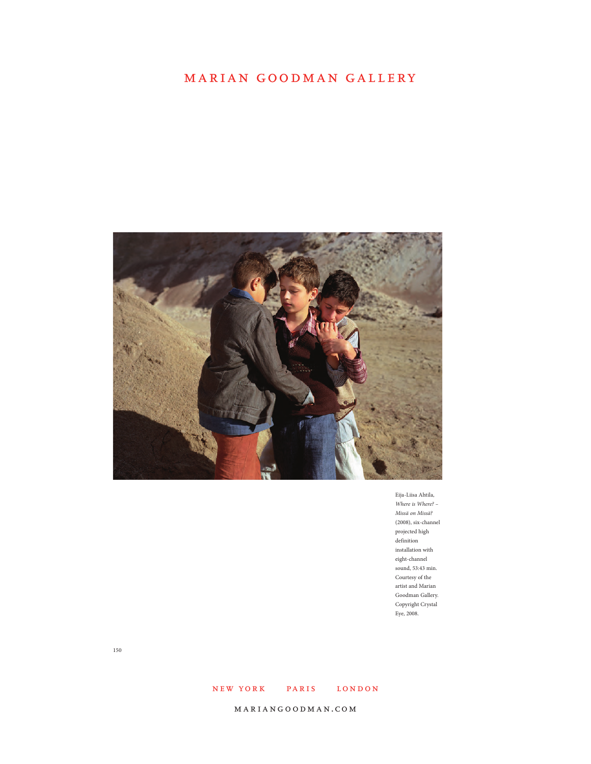

Eija-Liisa Ahtila, *Where is Where? – Missä on Missä?*  (2008), six-channel projected high definition installation with eight-channel sound, 53:43 min. Courtesy of the artist and Marian Goodman Gallery. Copyright Crystal Eye, 2008.

150

### NEW YORK PARIS LONDON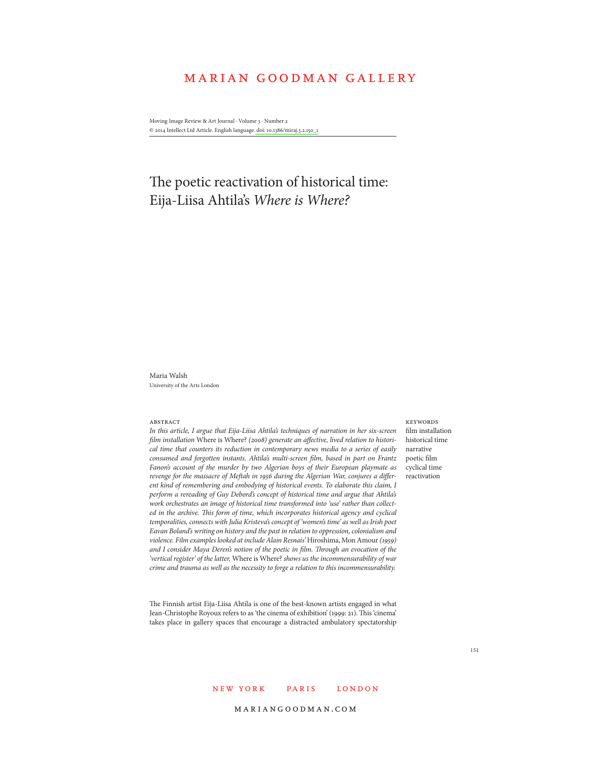Moving Image Review & Art Journal · Volume 3 · Number 2 © 2014 Intellect Ltd Article. English language. doi: 10.1386/miraj.3.2.150\_1

# The poetic reactivation of historical time: Eija-Liisa Ahtila's *Where is Where?*

Maria Walsh University of the Arts London

#### **ABSTRACT**

*In this article, I argue that Eija-Liisa Ahtila's techniques of narration in her six-screen film installation* Where is Where? *(2008) generate an affective, lived relation to historical time that counters its reduction in contemporary news media to a series of easily consumed and forgotten instants. Ahtila's multi-screen film, based in part on Frantz Fanon's account of the murder by two Algerian boys of their European playmate as revenge for the massacre of Meftah in 1956 during the Algerian War, conjures a different kind of remembering and embodying of historical events. To elaborate this claim, I perform a rereading of Guy Debord's concept of historical time and argue that Ahtila's work orchestrates an image of historical time transformed into 'use' rather than collected in the archive. This form of time, which incorporates historical agency and cyclical temporalities, connects with Julia Kristeva's concept of 'women's time' as well as Irish poet Eavan Boland's writing on history and the past in relation to oppression, colonialism and violence. Film examples looked at include Alain Resnais'* Hiroshima, Mon Amour *(1959) and I consider Maya Deren's notion of the poetic in film. Through an evocation of the 'vertical register' of the latter,* Where is Where? *shows us the incommensurability of war crime and trauma as well as the necessity to forge a relation to this incommensurability.* 

film installation historical time narrative poetic film cyclical time reactivation

**KEYWORDS** 

The Finnish artist Eija-Liisa Ahtila is one of the best-known artists engaged in what Jean-Christophe Royoux refers to as 'the cinema of exhibition' (1999: 21). This 'cinema' takes place in gallery spaces that encourage a distracted ambulatory spectatorship

### NEW YORK PARIS LONDON

#### mariangoodman.com

151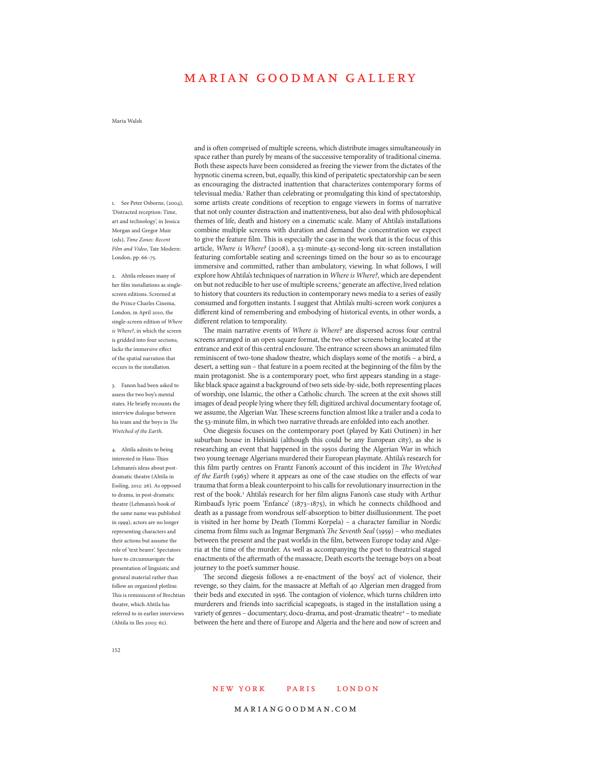Maria Walsh

1. See Peter Osborne, (2004), 'Distracted reception: Time, art and technology', in Jessica Morgan and Gregor Muir (eds), *Time Zones: Recent Film and Video*, Tate Modern: London, pp. 66–75.

2. Ahtila releases many of her film installations as singlescreen editions. Screened at the Prince Charles Cinema, London, in April 2010, the single-screen edition of *Where is Where?*, in which the screen is gridded into four sections, lacks the immersive effect of the spatial narration that occurs in the installation.

3. Fanon had been asked to assess the two boy's mental states. He briefly recounts the interview dialogue between his team and the boys in *The Wretched of the Earth*.

4. Ahtila admits to being interested in Hans-Thies Lehmann's ideas about postdramatic theatre (Ahtila in Essling, 2012: 26). As opposed to drama, in post-dramatic theatre (Lehmann's book of the same name was published in 1999), actors are no longer representing characters and their actions but assume the role of 'text bearer'. Spectators have to circumnavigate the presentation of linguistic and gestural material rather than follow an organized plotline. This is reminiscent of Brechtian theatre, which Ahtila has referred to in earlier interviews (Ahtila in Iles 2003: 62).

and is often comprised of multiple screens, which distribute images simultaneously in space rather than purely by means of the successive temporality of traditional cinema. Both these aspects have been considered as freeing the viewer from the dictates of the hypnotic cinema screen, but, equally, this kind of peripatetic spectatorship can be seen as encouraging the distracted inattention that characterizes contemporary forms of televisual media.<sup>1</sup> Rather than celebrating or promulgating this kind of spectatorship, some artists create conditions of reception to engage viewers in forms of narrative that not only counter distraction and inattentiveness, but also deal with philosophical themes of life, death and history on a cinematic scale. Many of Ahtila's installations combine multiple screens with duration and demand the concentration we expect to give the feature film. This is especially the case in the work that is the focus of this article, *Where is Where?* (2008), a 53-minute-43-second-long six-screen installation featuring comfortable seating and screenings timed on the hour so as to encourage immersive and committed, rather than ambulatory, viewing. In what follows, I will explore how Ahtila's techniques of narration in *Where is Where?*, which are dependent on but not reducible to her use of multiple screens,<sup>2</sup> generate an affective, lived relation to history that counters its reduction in contemporary news media to a series of easily consumed and forgotten instants. I suggest that Ahtila's multi-screen work conjures a different kind of remembering and embodying of historical events, in other words, a different relation to temporality.

The main narrative events of *Where is Where?* are dispersed across four central screens arranged in an open square format, the two other screens being located at the entrance and exit of this central enclosure. The entrance screen shows an animated film reminiscent of two-tone shadow theatre, which displays some of the motifs – a bird, a desert, a setting sun – that feature in a poem recited at the beginning of the film by the main protagonist. She is a contemporary poet, who first appears standing in a stagelike black space against a background of two sets side-by-side, both representing places of worship, one Islamic, the other a Catholic church. The screen at the exit shows still images of dead people lying where they fell; digitized archival documentary footage of, we assume, the Algerian War. These screens function almost like a trailer and a coda to the 53-minute film, in which two narrative threads are enfolded into each another.

One diegesis focuses on the contemporary poet (played by Kati Outinen) in her suburban house in Helsinki (although this could be any European city), as she is researching an event that happened in the 1950s during the Algerian War in which two young teenage Algerians murdered their European playmate. Ahtila's research for this film partly centres on Frantz Fanon's account of this incident in *The Wretched of the Earth* (1963) where it appears as one of the case studies on the effects of war trauma that form a bleak counterpoint to his calls for revolutionary insurrection in the rest of the book.<sup>3</sup> Ahtila's research for her film aligns Fanon's case study with Arthur Rimbaud's lyric poem 'Enfance' (1873–1875), in which he connects childhood and death as a passage from wondrous self-absorption to bitter disillusionment. The poet is visited in her home by Death (Tommi Korpela) – a character familiar in Nordic cinema from films such as Ingmar Bergman's *The Seventh Seal* (1959) – who mediates between the present and the past worlds in the film, between Europe today and Algeria at the time of the murder. As well as accompanying the poet to theatrical staged enactments of the aftermath of the massacre, Death escorts the teenage boys on a boat journey to the poet's summer house.

The second diegesis follows a re-enactment of the boys' act of violence, their revenge, so they claim, for the massacre at Meftah of 40 Algerian men dragged from their beds and executed in 1956. The contagion of violence, which turns children into murderers and friends into sacrificial scapegoats, is staged in the installation using a variety of genres - documentary, docu-drama, and post-dramatic theatre<sup>4</sup> - to mediate between the here and there of Europe and Algeria and the here and now of screen and

152

### NEW YORK PARIS LONDON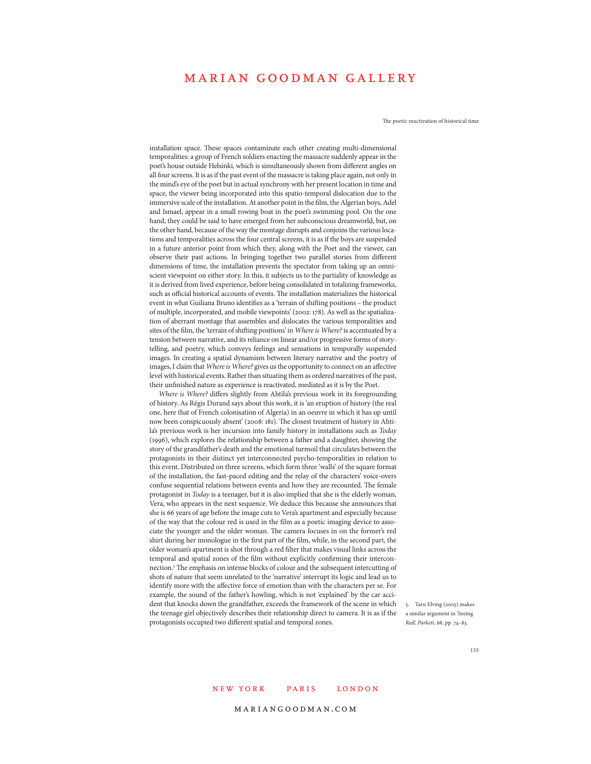The poetic reactivation of historical time

installation space. These spaces contaminate each other creating multi-dimensional temporalities: a group of French soldiers enacting the massacre suddenly appear in the poet's house outside Helsinki, which is simultaneously shown from different angles on all four screens. It is as if the past event of the massacre is taking place again, not only in the mind's eye of the poet but in actual synchrony with her present location in time and space, the viewer being incorporated into this spatio-temporal dislocation due to the immersive scale of the installation. At another point in the film, the Algerian boys, Adel and Ismael, appear in a small rowing boat in the poet's swimming pool. On the one hand, they could be said to have emerged from her subconscious dreamworld, but, on the other hand, because of the way the montage disrupts and conjoins the various locations and temporalities across the four central screens, it is as if the boys are suspended in a future anterior point from which they, along with the Poet and the viewer, can observe their past actions. In bringing together two parallel stories from different dimensions of time, the installation prevents the spectator from taking up an omniscient viewpoint on either story. In this, it subjects us to the partiality of knowledge as it is derived from lived experience, before being consolidated in totalizing frameworks, such as official historical accounts of events. The installation materializes the historical event in what Guiliana Bruno identifies as a 'terrain of shifting positions – the product of multiple, incorporated, and mobile viewpoints' (2002: 178). As well as the spatialization of aberrant montage that assembles and dislocates the various temporalities and sites of the film, the 'terrain of shifting positions' in *Where is Where?* is accentuated by a tension between narrative, and its reliance on linear and/or progressive forms of storytelling, and poetry, which conveys feelings and sensations in temporally suspended images. In creating a spatial dynamism between literary narrative and the poetry of images, I claim that *Where is Where?* gives us the opportunity to connect on an affective level with historical events. Rather than situating them as ordered narratives of the past, their unfinished nature as experience is reactivated, mediated as it is by the Poet.

*Where is Where?* differs slightly from Ahtila's previous work in its foregrounding of history. As Régis Durand says about this work, it is 'an eruption of history (the real one, here that of French colonisation of Algeria) in an oeuvre in which it has up until now been conspicuously absent' (2008: 181). The closest treatment of history in Ahtila's previous work is her incursion into family history in installations such as *Today* (1996), which explores the relationship between a father and a daughter, showing the story of the grandfather's death and the emotional turmoil that circulates between the protagonists in their distinct yet interconnected psycho-temporalities in relation to this event. Distributed on three screens, which form three 'walls' of the square format of the installation, the fast-paced editing and the relay of the characters' voice-overs confuse sequential relations between events and how they are recounted. The female protagonist in *Today* is a teenager, but it is also implied that she is the elderly woman, Vera, who appears in the next sequence. We deduce this because she announces that she is 66 years of age before the image cuts to Vera's apartment and especially because of the way that the colour red is used in the film as a poetic imaging device to associate the younger and the older woman. The camera focuses in on the former's red shirt during her monologue in the first part of the film, while, in the second part, the older woman's apartment is shot through a red filter that makes visual links across the temporal and spatial zones of the film without explicitly confirming their interconnection.5 The emphasis on intense blocks of colour and the subsequent intercutting of shots of nature that seem unrelated to the 'narrative' interrupt its logic and lead us to identify more with the affective force of emotion than with the characters per se. For example, the sound of the father's howling, which is not 'explained' by the car accident that knocks down the grandfather, exceeds the framework of the scene in which 5. Taru Elving (2003) makes the teenage girl objectively describes their relationship direct to camera. It is as if the a similar argument in 'Seeing protagonists occupied two different spatial and temporal zones.

Red', *Parkett*, 68, pp. 74–83.

#### 153

### NEW YORK PARIS LONDON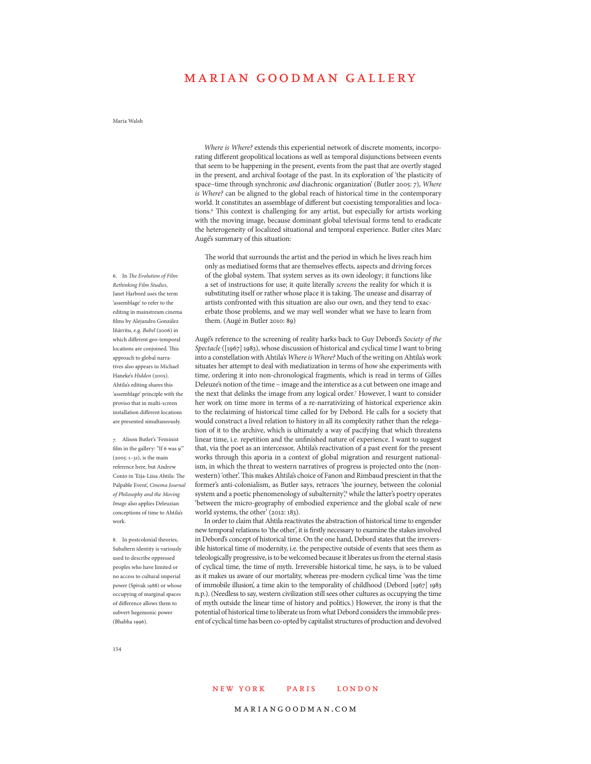### Maria Walsh

*Where is Where?* extends this experiential network of discrete moments, incorporating different geopolitical locations as well as temporal disjunctions between events that seem to be happening in the present, events from the past that are overtly staged in the present, and archival footage of the past. In its exploration of 'the plasticity of space–time through synchronic *and* diachronic organization' (Butler 2005: 7), *Where is Where?* can be aligned to the global reach of historical time in the contemporary world. It constitutes an assemblage of different but coexisting temporalities and locations.<sup>6</sup> This context is challenging for any artist, but especially for artists working with the moving image, because dominant global televisual forms tend to eradicate the heterogeneity of localized situational and temporal experience. Butler cites Marc Augé's summary of this situation:

The world that surrounds the artist and the period in which he lives reach him only as mediatised forms that are themselves effects, aspects and driving forces of the global system. That system serves as its own ideology; it functions like a set of instructions for use; it quite literally *screens* the reality for which it is substituting itself or rather whose place it is taking. The unease and disarray of artists confronted with this situation are also our own, and they tend to exacerbate those problems, and we may well wonder what we have to learn from them. (Augé in Butler 2010: 89)

Augé's reference to the screening of reality harks back to Guy Debord's *Society of the Spectacle* ([1967] 1983), whose discussion of historical and cyclical time I want to bring into a constellation with Ahtila's *Where is Where?* Much of the writing on Ahtila's work situates her attempt to deal with mediatization in terms of how she experiments with time, ordering it into non-chronological fragments, which is read in terms of Gilles Deleuze's notion of the time – image and the interstice as a cut between one image and the next that delinks the image from any logical order.7 However, I want to consider her work on time more in terms of a re-narrativizing of historical experience akin to the reclaiming of historical time called for by Debord. He calls for a society that would construct a lived relation to history in all its complexity rather than the relegation of it to the archive, which is ultimately a way of pacifying that which threatens linear time, i.e. repetition and the unfinished nature of experience. I want to suggest that, via the poet as an intercessor, Ahtila's reactivation of a past event for the present works through this aporia in a context of global migration and resurgent nationalism, in which the threat to western narratives of progress is projected onto the (nonwestern) 'other'. This makes Ahtila's choice of Fanon and Rimbaud prescient in that the former's anti-colonialism, as Butler says, retraces 'the journey, between the colonial system and a poetic phenomenology of subalternity,<sup>8</sup> while the latter's poetry operates 'between the micro-geography of embodied experience and the global scale of new world systems, the other' (2012: 183).

In order to claim that Ahtila reactivates the abstraction of historical time to engender new temporal relations to 'the other', it is firstly necessary to examine the stakes involved in Debord's concept of historical time. On the one hand, Debord states that the irreversible historical time of modernity, i.e. the perspective outside of events that sees them as teleologically progressive, is to be welcomed because it liberates us from the eternal stasis of cyclical time, the time of myth. Irreversible historical time, he says, is to be valued as it makes us aware of our mortality, whereas pre-modern cyclical time 'was the time of immobile illusion', a time akin to the temporality of childhood (Debord [1967] 1983 n.p.). (Needless to say, western civilization still sees other cultures as occupying the time of myth outside the linear time of history and politics.) However, the irony is that the potential of historical time to liberate us from what Debord considers the immobile present of cyclical time has been co-opted by capitalist structures of production and devolved

*Rethinking Film Studies*, Janet Harbord uses the term 'assemblage' to refer to the editing in mainstream cinema films by Alejandro González Iñárritu, e.g. *Babel* (2006) in which different geo-temporal locations are conjoined. This approach to global narratives also appears in Michael Haneke's *Hidden* (2005). Ahtila's editing shares this 'assemblage' principle with the proviso that in multi-screen installation different locations are presented simultaneously.

6. In *The Evolution of Film:* 

7. Alison Butler's 'Feminist film in the gallery: "If 6 was 9" (2005: 1–31), is the main reference here, but Andrew Conio in 'Eija-Liisa Ahtila: The Palpable Event', *Cinema Journal of Philosophy and the Moving Image* also applies Deleuzian conceptions of time to Ahtila's work.

8. In postcolonial theories, Subaltern identity is variously used to describe oppressed peoples who have limited or no access to cultural imperial power (Spivak 1988) or whose occupying of marginal spaces of difference allows them to subvert hegemonic power (Bhabha 1996).

#### new york paris london MIRAJA ANG PANGANGAN ANG PANGANGAN ANG PANGANGAN ANG PANGANGAN ANG PANGANGAN ANG PANGANGAN ANG PANGANGAN ANG P

### 154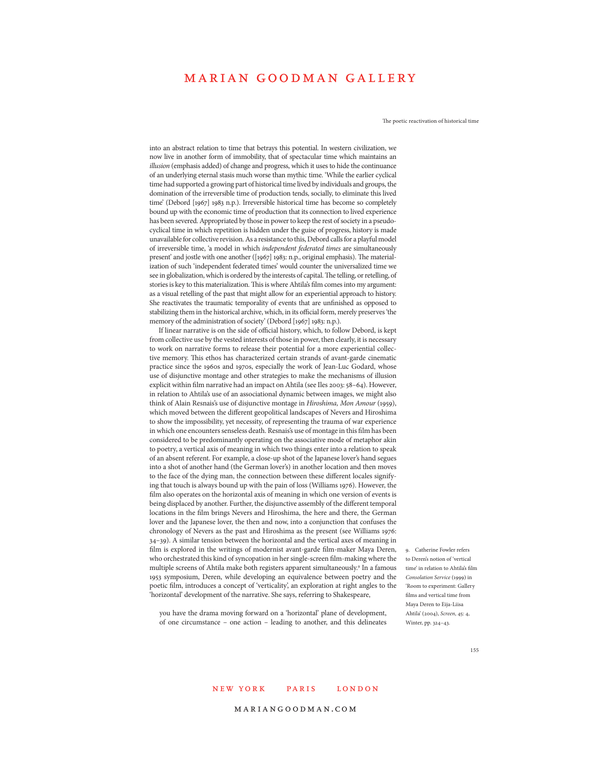The poetic reactivation of historical time

into an abstract relation to time that betrays this potential. In western civilization, we now live in another form of immobility, that of spectacular time which maintains an *illusion* (emphasis added) of change and progress, which it uses to hide the continuance of an underlying eternal stasis much worse than mythic time. 'While the earlier cyclical time had supported a growing part of historical time lived by individuals and groups, the domination of the irreversible time of production tends, socially, to eliminate this lived time' (Debord [1967] 1983 n.p.). Irreversible historical time has become so completely bound up with the economic time of production that its connection to lived experience has been severed. Appropriated by those in power to keep the rest of society in a pseudocyclical time in which repetition is hidden under the guise of progress, history is made unavailable for collective revision. As a resistance to this, Debord calls for a playful model of irreversible time, 'a model in which *independent federated times* are simultaneously present' and jostle with one another ([1967] 1983: n.p., original emphasis). The materialization of such 'independent federated times' would counter the universalized time we see in globalization, which is ordered by the interests of capital. The telling, or retelling, of stories is key to this materialization. This is where Ahtila's film comes into my argument: as a visual retelling of the past that might allow for an experiential approach to history. She reactivates the traumatic temporality of events that are unfinished as opposed to stabilizing them in the historical archive, which, in its official form, merely preserves 'the memory of the administration of society' (Debord [1967] 1983: n.p.).

If linear narrative is on the side of official history, which, to follow Debord, is kept from collective use by the vested interests of those in power, then clearly, it is necessary to work on narrative forms to release their potential for a more experiential collective memory. This ethos has characterized certain strands of avant-garde cinematic practice since the 1960s and 1970s, especially the work of Jean-Luc Godard, whose use of disjunctive montage and other strategies to make the mechanisms of illusion explicit within film narrative had an impact on Ahtila (see Iles 2003: 58–64). However, in relation to Ahtila's use of an associational dynamic between images, we might also think of Alain Resnais's use of disjunctive montage in *Hiroshima, Mon Amour* (1959), which moved between the different geopolitical landscapes of Nevers and Hiroshima to show the impossibility, yet necessity, of representing the trauma of war experience in which one encounters senseless death. Resnais's use of montage in this film has been considered to be predominantly operating on the associative mode of metaphor akin to poetry, a vertical axis of meaning in which two things enter into a relation to speak of an absent referent. For example, a close-up shot of the Japanese lover's hand segues into a shot of another hand (the German lover's) in another location and then moves to the face of the dying man, the connection between these different locales signifying that touch is always bound up with the pain of loss (Williams 1976). However, the film also operates on the horizontal axis of meaning in which one version of events is being displaced by another. Further, the disjunctive assembly of the different temporal locations in the film brings Nevers and Hiroshima, the here and there, the German lover and the Japanese lover, the then and now, into a conjunction that confuses the chronology of Nevers as the past and Hiroshima as the present (see Williams 1976: 34–39). A similar tension between the horizontal and the vertical axes of meaning in film is explored in the writings of modernist avant-garde film-maker Maya Deren, who orchestrated this kind of syncopation in her single-screen film-making where the multiple screens of Ahtila make both registers apparent simultaneously.9 In a famous 1953 symposium, Deren, while developing an equivalence between poetry and the poetic film, introduces a concept of 'verticality', an exploration at right angles to the 'horizontal' development of the narrative. She says, referring to Shakespeare,

you have the drama moving forward on a 'horizontal' plane of development, of one circumstance – one action – leading to another, and this delineates

9. Catherine Fowler refers to Deren's notion of 'vertical time' in relation to Ahtila's film *Consolation Service* (1999) in 'Room to experiment: Gallery films and vertical time from Maya Deren to Eija-Liisa Ahtila' (2004), *Screen*, 45: 4, Winter, pp. 324–43.

#### 155

### NEW YORK PARIS LONDON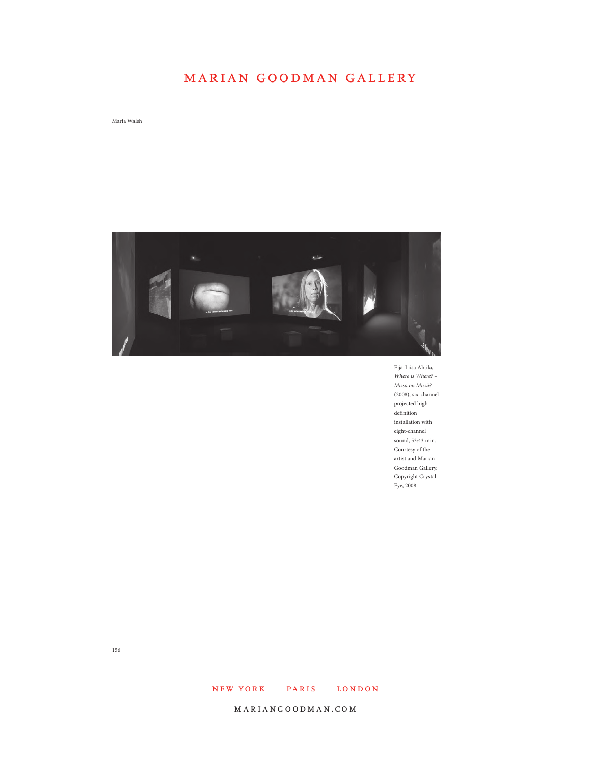Maria Walsh



Eija-Liisa Ahtila, *Where is Where? – Missä on Missä?*  (2008), six-channel projected high definition installation with eight-channel sound, 53:43 min. Courtesy of the artist and Marian Goodman Gallery. Copyright Crystal Eye, 2008.

156

### NEW YORK PARIS LONDON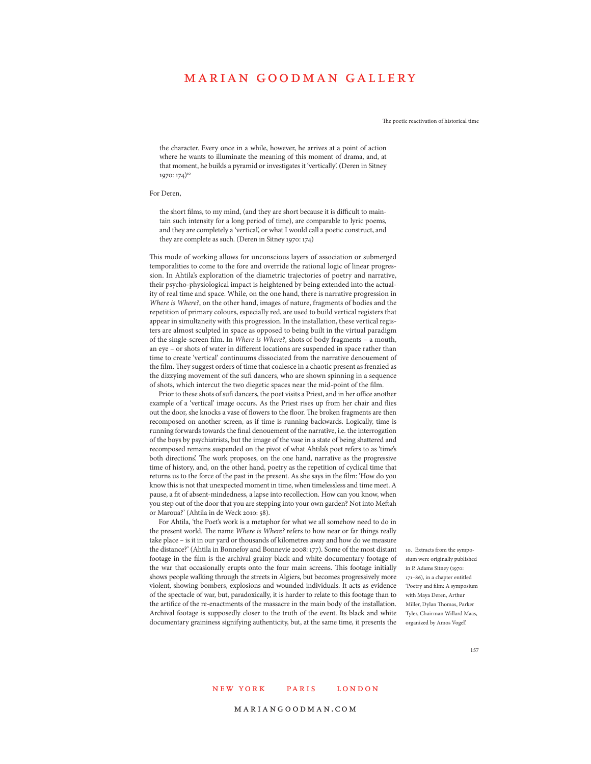The poetic reactivation of historical time

the character. Every once in a while, however, he arrives at a point of action where he wants to illuminate the meaning of this moment of drama, and, at that moment, he builds a pyramid or investigates it 'vertically'. (Deren in Sitney 1970: 174)<sup>10</sup>

#### For Deren,

the short films, to my mind, (and they are short because it is difficult to maintain such intensity for a long period of time), are comparable to lyric poems, and they are completely a 'vertical', or what I would call a poetic construct, and they are complete as such. (Deren in Sitney 1970: 174)

This mode of working allows for unconscious layers of association or submerged temporalities to come to the fore and override the rational logic of linear progression. In Ahtila's exploration of the diametric trajectories of poetry and narrative, their psycho-physiological impact is heightened by being extended into the actuality of real time and space. While, on the one hand, there is narrative progression in *Where is Where?*, on the other hand, images of nature, fragments of bodies and the repetition of primary colours, especially red, are used to build vertical registers that appear in simultaneity with this progression. In the installation, these vertical registers are almost sculpted in space as opposed to being built in the virtual paradigm of the single-screen film. In *Where is Where?*, shots of body fragments – a mouth, an eye – or shots of water in different locations are suspended in space rather than time to create 'vertical' continuums dissociated from the narrative denouement of the film. They suggest orders of time that coalesce in a chaotic present as frenzied as the dizzying movement of the sufi dancers, who are shown spinning in a sequence of shots, which intercut the two diegetic spaces near the mid-point of the film.

Prior to these shots of sufi dancers, the poet visits a Priest, and in her office another example of a 'vertical' image occurs. As the Priest rises up from her chair and flies out the door, she knocks a vase of flowers to the floor. The broken fragments are then recomposed on another screen, as if time is running backwards. Logically, time is running forwards towards the final denouement of the narrative, i.e. the interrogation of the boys by psychiatrists, but the image of the vase in a state of being shattered and recomposed remains suspended on the pivot of what Ahtila's poet refers to as 'time's both directions'. The work proposes, on the one hand, narrative as the progressive time of history, and, on the other hand, poetry as the repetition of cyclical time that returns us to the force of the past in the present. As she says in the film: 'How do you know this is not that unexpected moment in time, when timelessless and time meet. A pause, a fit of absent-mindedness, a lapse into recollection. How can you know, when you step out of the door that you are stepping into your own garden? Not into Meftah or Maroua?' (Ahtila in de Weck 2010: 58).

For Ahtila, 'the Poet's work is a metaphor for what we all somehow need to do in the present world. The name *Where is Where?* refers to how near or far things really take place – is it in our yard or thousands of kilometres away and how do we measure the distance?' (Ahtila in Bonnefoy and Bonnevie 2008: 177). Some of the most distant footage in the film is the archival grainy black and white documentary footage of the war that occasionally erupts onto the four main screens. This footage initially shows people walking through the streets in Algiers, but becomes progressively more violent, showing bombers, explosions and wounded individuals. It acts as evidence of the spectacle of war, but, paradoxically, it is harder to relate to this footage than to the artifice of the re-enactments of the massacre in the main body of the installation. Archival footage is supposedly closer to the truth of the event. Its black and white documentary graininess signifying authenticity, but, at the same time, it presents the organized by Amos Vogel'.

10. Extracts from the symposium were originally published in P. Adams Sitney (1970: 171–86), in a chapter entitled 'Poetry and film: A symposium with Maya Deren, Arthur Miller, Dylan Thomas, Parker Tyler, Chairman Willard Maas,

#### 157

### NEW YORK PARIS LONDON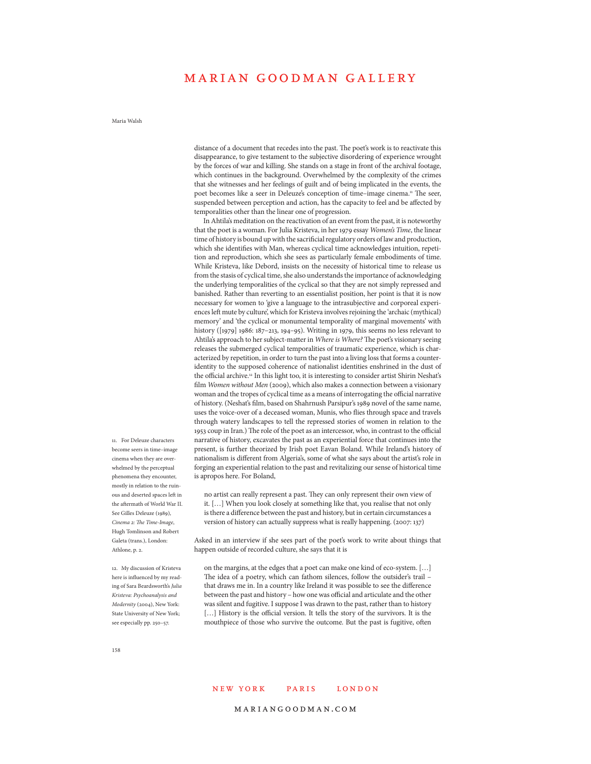### Maria Walsh

distance of a document that recedes into the past. The poet's work is to reactivate this disappearance, to give testament to the subjective disordering of experience wrought by the forces of war and killing. She stands on a stage in front of the archival footage, which continues in the background. Overwhelmed by the complexity of the crimes that she witnesses and her feelings of guilt and of being implicated in the events, the poet becomes like a seer in Deleuze's conception of time-image cinema.<sup>11</sup> The seer, suspended between perception and action, has the capacity to feel and be affected by temporalities other than the linear one of progression.

In Ahtila's meditation on the reactivation of an event from the past, it is noteworthy that the poet is a woman. For Julia Kristeva, in her 1979 essay *Women's Time*, the linear time of history is bound up with the sacrificial regulatory orders of law and production, which she identifies with Man, whereas cyclical time acknowledges intuition, repetition and reproduction, which she sees as particularly female embodiments of time. While Kristeva, like Debord, insists on the necessity of historical time to release us from the stasis of cyclical time, she also understands the importance of acknowledging the underlying temporalities of the cyclical so that they are not simply repressed and banished. Rather than reverting to an essentialist position, her point is that it is now necessary for women to 'give a language to the intrasubjective and corporeal experiences left mute by culture', which for Kristeva involves rejoining the 'archaic (mythical) memory' and 'the cyclical or monumental temporality of marginal movements' with history ([1979] 1986: 187–213, 194–95). Writing in 1979, this seems no less relevant to Ahtila's approach to her subject-matter in *Where is Where?* The poet's visionary seeing releases the submerged cyclical temporalities of traumatic experience, which is characterized by repetition, in order to turn the past into a living loss that forms a counteridentity to the supposed coherence of nationalist identities enshrined in the dust of the official archive.<sup>12</sup> In this light too, it is interesting to consider artist Shirin Neshat's film *Women without Men* (2009), which also makes a connection between a visionary woman and the tropes of cyclical time as a means of interrogating the official narrative of history. (Neshat's film, based on Shahrnush Parsipur's 1989 novel of the same name, uses the voice-over of a deceased woman, Munis, who flies through space and travels through watery landscapes to tell the repressed stories of women in relation to the 1953 coup in Iran.) The role of the poet as an intercessor, who, in contrast to the official narrative of history, excavates the past as an experiential force that continues into the present, is further theorized by Irish poet Eavan Boland. While Ireland's history of nationalism is different from Algeria's, some of what she says about the artist's role in forging an experiential relation to the past and revitalizing our sense of historical time is apropos here. For Boland,

no artist can really represent a past. They can only represent their own view of it. […] When you look closely at something like that, you realise that not only is there a difference between the past and history, but in certain circumstances a version of history can actually suppress what is really happening. (2007: 137)

Asked in an interview if she sees part of the poet's work to write about things that happen outside of recorded culture, she says that it is

on the margins, at the edges that a poet can make one kind of eco-system. […] The idea of a poetry, which can fathom silences, follow the outsider's trail that draws me in. In a country like Ireland it was possible to see the difference between the past and history – how one was official and articulate and the other was silent and fugitive. I suppose I was drawn to the past, rather than to history [...] History is the official version. It tells the story of the survivors. It is the mouthpiece of those who survive the outcome. But the past is fugitive, often

11. For Deleuze characters become seers in time–image cinema when they are overwhelmed by the perceptual phenomena they encounter, mostly in relation to the ruinous and deserted spaces left in the aftermath of World War II. See Gilles Deleuze (1989), *Cinema 2: The Time-Image*, Hugh Tomlinson and Robert Galeta (trans.), London: Athlone, p. 2.

12. My discussion of Kristeva here is influenced by my reading of Sara Beardsworth's *Julia Kristeva: Psychoanalysis and Modernity* (2004), New York: State University of New York; see especially pp. 250–57.

### 158

### NEW YORK PARIS LONDON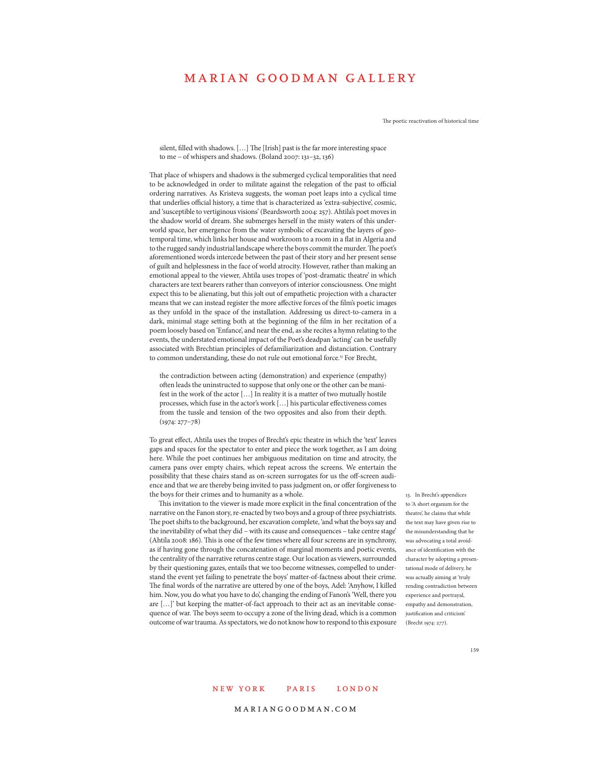The poetic reactivation of historical time

silent, filled with shadows. […] The [Irish] past is the far more interesting space to me – of whispers and shadows. (Boland 2007: 131–32, 136)

That place of whispers and shadows is the submerged cyclical temporalities that need to be acknowledged in order to militate against the relegation of the past to official ordering narratives. As Kristeva suggests, the woman poet leaps into a cyclical time that underlies official history, a time that is characterized as 'extra-subjective', cosmic, and 'susceptible to vertiginous visions' (Beardsworth 2004: 257). Ahtila's poet moves in the shadow world of dream. She submerges herself in the misty waters of this underworld space, her emergence from the water symbolic of excavating the layers of geotemporal time, which links her house and workroom to a room in a flat in Algeria and to the rugged sandy industrial landscape where the boys commit the murder. The poet's aforementioned words intercede between the past of their story and her present sense of guilt and helplessness in the face of world atrocity. However, rather than making an emotional appeal to the viewer, Ahtila uses tropes of 'post-dramatic theatre' in which characters are text bearers rather than conveyors of interior consciousness. One might expect this to be alienating, but this jolt out of empathetic projection with a character means that we can instead register the more affective forces of the film's poetic images as they unfold in the space of the installation. Addressing us direct-to-camera in a dark, minimal stage setting both at the beginning of the film in her recitation of a poem loosely based on 'Enfance', and near the end, as she recites a hymn relating to the events, the understated emotional impact of the Poet's deadpan 'acting' can be usefully associated with Brechtian principles of defamiliarization and distanciation. Contrary to common understanding, these do not rule out emotional force.13 For Brecht,

the contradiction between acting (demonstration) and experience (empathy) often leads the uninstructed to suppose that only one or the other can be manifest in the work of the actor […] In reality it is a matter of two mutually hostile processes, which fuse in the actor's work […] his particular effectiveness comes from the tussle and tension of the two opposites and also from their depth. (1974: 277–78)

To great effect, Ahtila uses the tropes of Brecht's epic theatre in which the 'text' leaves gaps and spaces for the spectator to enter and piece the work together, as I am doing here. While the poet continues her ambiguous meditation on time and atrocity, the camera pans over empty chairs, which repeat across the screens. We entertain the possibility that these chairs stand as on-screen surrogates for us the off-screen audience and that we are thereby being invited to pass judgment on, or offer forgiveness to the boys for their crimes and to humanity as a whole.

This invitation to the viewer is made more explicit in the final concentration of the narrative on the Fanon story, re-enacted by two boys and a group of three psychiatrists. The poet shifts to the background, her excavation complete, 'and what the boys say and the inevitability of what they did – with its cause and consequences – take centre stage' (Ahtila 2008: 186). This is one of the few times where all four screens are in synchrony, as if having gone through the concatenation of marginal moments and poetic events, the centrality of the narrative returns centre stage. Our location as viewers, surrounded by their questioning gazes, entails that we too become witnesses, compelled to understand the event yet failing to penetrate the boys' matter-of-factness about their crime. The final words of the narrative are uttered by one of the boys, Adel: 'Anyhow, I killed him. Now, you do what you have to do', changing the ending of Fanon's 'Well, there you are […]' but keeping the matter-of-fact approach to their act as an inevitable consequence of war. The boys seem to occupy a zone of the living dead, which is a common outcome of war trauma. As spectators, we do not know how to respond to this exposure

13. In Brecht's appendices to 'A short organum for the theatre' he claims that while the text may have given rise to the misunderstanding that he was advocating a total avoidance of identification with the character by adopting a presentational mode of delivery, he was actually aiming at 'truly rending contradiction between experience and portrayal, empathy and demonstration, justification and criticism' (Brecht 1974: 277).

159

### NEW YORK PARIS LONDON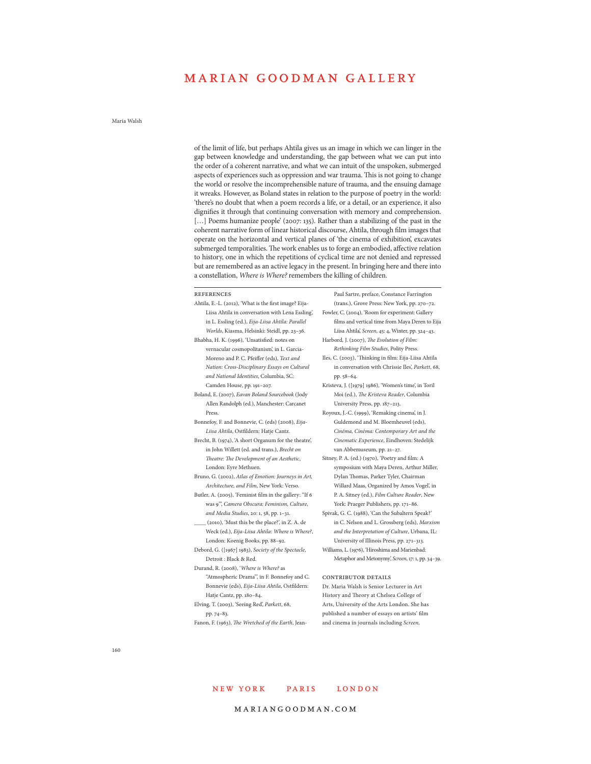### Maria Walsh

of the limit of life, but perhaps Ahtila gives us an image in which we can linger in the gap between knowledge and understanding, the gap between what we can put into the order of a coherent narrative, and what we can intuit of the unspoken, submerged aspects of experiences such as oppression and war trauma. This is not going to change the world or resolve the incomprehensible nature of trauma, and the ensuing damage it wreaks. However, as Boland states in relation to the purpose of poetry in the world: 'there's no doubt that when a poem records a life, or a detail, or an experience, it also dignifies it through that continuing conversation with memory and comprehension. [...] Poems humanize people' (2007: 135). Rather than a stabilizing of the past in the coherent narrative form of linear historical discourse, Ahtila, through film images that operate on the horizontal and vertical planes of 'the cinema of exhibition', excavates submerged temporalities. The work enables us to forge an embodied, affective relation to history, one in which the repetitions of cyclical time are not denied and repressed but are remembered as an active legacy in the present. In bringing here and there into a constellation, *Where is Where?* remembers the killing of children.

| Ahtila, E.-L. (2012), 'What is the first image? Eija-   |   |
|---------------------------------------------------------|---|
| Liisa Ahtila in conversation with Lena Essling',        | F |
| in L. Essling (ed.), Eija-Liisa Ahtila: Parallel        |   |
| Worlds, Kiasma, Helsinki: Steidl, pp. 23-36.            |   |
| Bhabha, H. K. (1996), 'Unsatisfied: notes on            | F |
| vernacular cosmopolitanism', in L. Garcia-              |   |
| Moreno and P. C. Pfeiffer (eds), Text and               | П |
| Nation: Cross-Disciplinary Essays on Cultural           |   |
| and National Identities, Columbia, SC:                  |   |
| Camden House, pp. 191-207.                              | K |
| Boland, E. (2007), Eavan Boland Sourcebook (Jody        |   |
| Allen Randolph (ed.), Manchester: Carcanet              |   |
| Press.                                                  | R |
| Bonnefoy, F. and Bonnevie, C. (eds) (2008), Eija-       |   |
| Liisa Ahtila, Ostfildern: Hatje Cantz.                  |   |
| Brecht, B. (1974), 'A short Organum for the theatre',   |   |
| in John Willett (ed. and trans.), Brecht on             |   |
| Theatre: The Development of an Aesthetic,               | S |
| London: Eyre Methuen.                                   |   |
| Bruno, G. (2002), Atlas of Emotion: Journeys in Art,    |   |
| Architecture, and Film, New York: Verso.                |   |
| Butler, A. (2005), 'Feminist film in the gallery: "If 6 |   |
| was 9", Camera Obscura: Feminism, Culture,              |   |
| and Media Studies, 20: 1, 58, pp. 1-31.                 | S |
| (2010), 'Must this be the place?', in Z. A. de          |   |
| Weck (ed.), Eija-Liisa Ahtila: Where is Where?,         |   |
| London: Koenig Books, pp. 88-92.                        |   |
| Debord, G. ([1967] 1983), Society of the Spectacle,     | V |
| Detroit: Black & Red.                                   |   |
| Durand, R. (2008), 'Where is Where? as                  |   |
| "Atmospheric Drama", in F. Bonnefoy and C.              | C |
| Bonnevie (eds), Eija-Liisa Ahtila, Ostfildern:          | Г |
| Hatje Cantz, pp. 180-84.                                | E |
| Elving, T. (2003), 'Seeing Red', Parkett, 68,           | A |
| pp. 74-83.                                              | p |

Fanon, F. (1963), *The Wretched of the Earth*, Jean-

Paul Sartre, preface, Constance Farrington (trans.), Grove Press: New York, pp. 270–72. Fowler, C. (2004), 'Room for experiment: Gallery films and vertical time from Maya Deren to Eija Liisa Ahtila', *Screen*, 45: 4, Winter, pp. 324–43. Harbord*,* J. (2007), *The Evolution of Film: Rethinking Film Studies*, Polity Press.

- Iles, C. (2003), 'Thinking in film: Eija-Liisa Ahtila in conversation with Chrissie Iles', *Parkett*, 68, pp. 58–64.
- Kristeva, J. ([1979] 1986), 'Women's time', in Toril Moi (ed.), *The Kristeva Reader*, Columbia University Press, pp. 187–213.
- Royoux, J.-C. (1999), 'Remaking cinema', in J. Guldemond and M. Bloemheuvel (eds), *Cinéma, Cinéma: Contemporary Art and the Cinematic Experience*, Eindhoven: Stedelijk van Abbemuseum, pp. 21–27.
- Sitney, P. A. (ed.) (1970), 'Poetry and film: A symposium with Maya Deren, Arthur Miller, Dylan Thomas, Parker Tyler, Chairman Willard Maas, Organized by Amos Vogel', in P. A. Sitney (ed.), *Film Culture Reader*, New York: Praeger Publishers, pp. 171–86.
- Spivak, G. C. (1988), 'Can the Subaltern Speak?' in C. Nelson and L. Grossberg (eds), *Marxism and the Interpretation of Culture*, Urbana, IL: University of Illinois Press, pp. 271–313. Williams, L. (1976), 'Hiroshima and Marienbad:
- Metaphor and Metonymy', *Screen*, 17: 1, pp. 34–39.

#### contributor details

Dr. Maria Walsh is Senior Lecturer in Art History and Theory at Chelsea College of Arts, University of the Arts London. She has published a number of essays on artists' film and cinema in journals including *Screen,* 

### NEW YORK PARIS LONDON